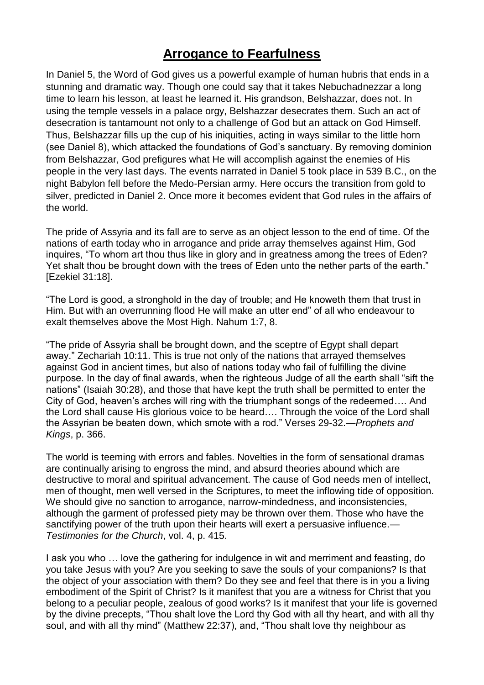## **Arrogance to Fearfulness**

In Daniel 5, the Word of God gives us a powerful example of human hubris that ends in a stunning and dramatic way. Though one could say that it takes Nebuchadnezzar a long time to learn his lesson, at least he learned it. His grandson, Belshazzar, does not. In using the temple vessels in a palace orgy, Belshazzar desecrates them. Such an act of desecration is tantamount not only to a challenge of God but an attack on God Himself. Thus, Belshazzar fills up the cup of his iniquities, acting in ways similar to the little horn (see Daniel 8), which attacked the foundations of God's sanctuary. By removing dominion from Belshazzar, God prefigures what He will accomplish against the enemies of His people in the very last days. The events narrated in Daniel 5 took place in 539 B.C., on the night Babylon fell before the Medo-Persian army. Here occurs the transition from gold to silver, predicted in Daniel 2. Once more it becomes evident that God rules in the affairs of the world.

The pride of Assyria and its fall are to serve as an object lesson to the end of time. Of the nations of earth today who in arrogance and pride array themselves against Him, God inquires, "To whom art thou thus like in glory and in greatness among the trees of Eden? Yet shalt thou be brought down with the trees of Eden unto the nether parts of the earth." [Ezekiel 31:18].

"The Lord is good, a stronghold in the day of trouble; and He knoweth them that trust in Him. But with an overrunning flood He will make an utter end" of all who endeavour to exalt themselves above the Most High. Nahum 1:7, 8.

"The pride of Assyria shall be brought down, and the sceptre of Egypt shall depart away." Zechariah 10:11. This is true not only of the nations that arrayed themselves against God in ancient times, but also of nations today who fail of fulfilling the divine purpose. In the day of final awards, when the righteous Judge of all the earth shall "sift the nations" (Isaiah 30:28), and those that have kept the truth shall be permitted to enter the City of God, heaven's arches will ring with the triumphant songs of the redeemed…. And the Lord shall cause His glorious voice to be heard…. Through the voice of the Lord shall the Assyrian be beaten down, which smote with a rod." Verses 29-32.—*Prophets and Kings*, p. 366.

The world is teeming with errors and fables. Novelties in the form of sensational dramas are continually arising to engross the mind, and absurd theories abound which are destructive to moral and spiritual advancement. The cause of God needs men of intellect, men of thought, men well versed in the Scriptures, to meet the inflowing tide of opposition. We should give no sanction to arrogance, narrow-mindedness, and inconsistencies, although the garment of professed piety may be thrown over them. Those who have the sanctifying power of the truth upon their hearts will exert a persuasive influence.— *Testimonies for the Church*, vol. 4, p. 415.

I ask you who … love the gathering for indulgence in wit and merriment and feasting, do you take Jesus with you? Are you seeking to save the souls of your companions? Is that the object of your association with them? Do they see and feel that there is in you a living embodiment of the Spirit of Christ? Is it manifest that you are a witness for Christ that you belong to a peculiar people, zealous of good works? Is it manifest that your life is governed by the divine precepts, "Thou shalt love the Lord thy God with all thy heart, and with all thy soul, and with all thy mind" (Matthew 22:37), and, "Thou shalt love thy neighbour as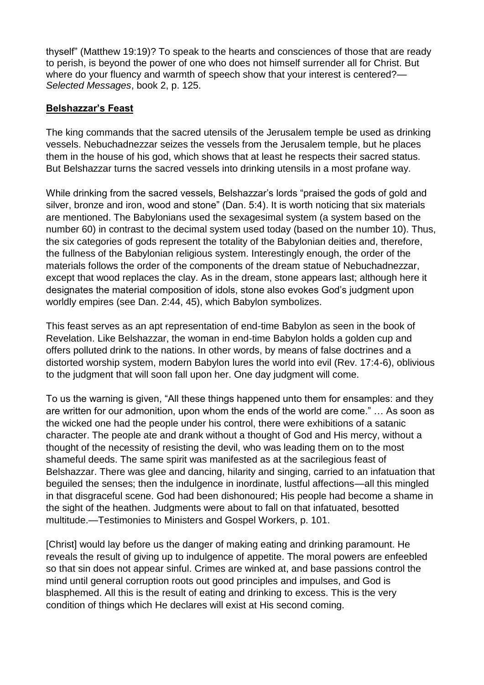thyself" (Matthew 19:19)? To speak to the hearts and consciences of those that are ready to perish, is beyond the power of one who does not himself surrender all for Christ. But where do your fluency and warmth of speech show that your interest is centered?— *Selected Messages*, book 2, p. 125.

## **Belshazzar's Feast**

The king commands that the sacred utensils of the Jerusalem temple be used as drinking vessels. Nebuchadnezzar seizes the vessels from the Jerusalem temple, but he places them in the house of his god, which shows that at least he respects their sacred status. But Belshazzar turns the sacred vessels into drinking utensils in a most profane way.

While drinking from the sacred vessels, Belshazzar's lords "praised the gods of gold and silver, bronze and iron, wood and stone" (Dan. 5:4). It is worth noticing that six materials are mentioned. The Babylonians used the sexagesimal system (a system based on the number 60) in contrast to the decimal system used today (based on the number 10). Thus, the six categories of gods represent the totality of the Babylonian deities and, therefore, the fullness of the Babylonian religious system. Interestingly enough, the order of the materials follows the order of the components of the dream statue of Nebuchadnezzar, except that wood replaces the clay. As in the dream, stone appears last; although here it designates the material composition of idols, stone also evokes God's judgment upon worldly empires (see Dan. 2:44, 45), which Babylon symbolizes.

This feast serves as an apt representation of end-time Babylon as seen in the book of Revelation. Like Belshazzar, the woman in end-time Babylon holds a golden cup and offers polluted drink to the nations. In other words, by means of false doctrines and a distorted worship system, modern Babylon lures the world into evil (Rev. 17:4-6), oblivious to the judgment that will soon fall upon her. One day judgment will come.

To us the warning is given, "All these things happened unto them for ensamples: and they are written for our admonition, upon whom the ends of the world are come." … As soon as the wicked one had the people under his control, there were exhibitions of a satanic character. The people ate and drank without a thought of God and His mercy, without a thought of the necessity of resisting the devil, who was leading them on to the most shameful deeds. The same spirit was manifested as at the sacrilegious feast of Belshazzar. There was glee and dancing, hilarity and singing, carried to an infatuation that beguiled the senses; then the indulgence in inordinate, lustful affections—all this mingled in that disgraceful scene. God had been dishonoured; His people had become a shame in the sight of the heathen. Judgments were about to fall on that infatuated, besotted multitude.—Testimonies to Ministers and Gospel Workers, p. 101.

[Christ] would lay before us the danger of making eating and drinking paramount. He reveals the result of giving up to indulgence of appetite. The moral powers are enfeebled so that sin does not appear sinful. Crimes are winked at, and base passions control the mind until general corruption roots out good principles and impulses, and God is blasphemed. All this is the result of eating and drinking to excess. This is the very condition of things which He declares will exist at His second coming.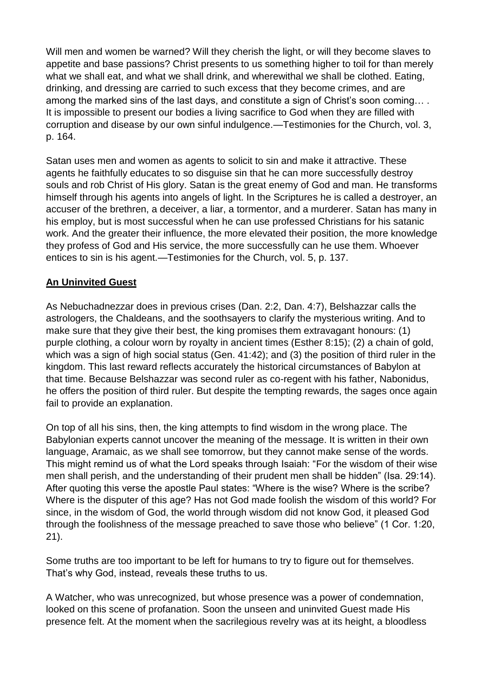Will men and women be warned? Will they cherish the light, or will they become slaves to appetite and base passions? Christ presents to us something higher to toil for than merely what we shall eat, and what we shall drink, and wherewithal we shall be clothed. Eating, drinking, and dressing are carried to such excess that they become crimes, and are among the marked sins of the last days, and constitute a sign of Christ's soon coming… . It is impossible to present our bodies a living sacrifice to God when they are filled with corruption and disease by our own sinful indulgence.—Testimonies for the Church, vol. 3, p. 164.

Satan uses men and women as agents to solicit to sin and make it attractive. These agents he faithfully educates to so disguise sin that he can more successfully destroy souls and rob Christ of His glory. Satan is the great enemy of God and man. He transforms himself through his agents into angels of light. In the Scriptures he is called a destroyer, an accuser of the brethren, a deceiver, a liar, a tormentor, and a murderer. Satan has many in his employ, but is most successful when he can use professed Christians for his satanic work. And the greater their influence, the more elevated their position, the more knowledge they profess of God and His service, the more successfully can he use them. Whoever entices to sin is his agent.—Testimonies for the Church, vol. 5, p. 137.

## **An Uninvited Guest**

As Nebuchadnezzar does in previous crises (Dan. 2:2, Dan. 4:7), Belshazzar calls the astrologers, the Chaldeans, and the soothsayers to clarify the mysterious writing. And to make sure that they give their best, the king promises them extravagant honours: (1) purple clothing, a colour worn by royalty in ancient times (Esther 8:15); (2) a chain of gold, which was a sign of high social status (Gen. 41:42); and (3) the position of third ruler in the kingdom. This last reward reflects accurately the historical circumstances of Babylon at that time. Because Belshazzar was second ruler as co-regent with his father, Nabonidus, he offers the position of third ruler. But despite the tempting rewards, the sages once again fail to provide an explanation.

On top of all his sins, then, the king attempts to find wisdom in the wrong place. The Babylonian experts cannot uncover the meaning of the message. It is written in their own language, Aramaic, as we shall see tomorrow, but they cannot make sense of the words. This might remind us of what the Lord speaks through Isaiah: "For the wisdom of their wise men shall perish, and the understanding of their prudent men shall be hidden" (Isa. 29:14). After quoting this verse the apostle Paul states: "Where is the wise? Where is the scribe? Where is the disputer of this age? Has not God made foolish the wisdom of this world? For since, in the wisdom of God, the world through wisdom did not know God, it pleased God through the foolishness of the message preached to save those who believe" (1 Cor. 1:20, 21).

Some truths are too important to be left for humans to try to figure out for themselves. That's why God, instead, reveals these truths to us.

A Watcher, who was unrecognized, but whose presence was a power of condemnation, looked on this scene of profanation. Soon the unseen and uninvited Guest made His presence felt. At the moment when the sacrilegious revelry was at its height, a bloodless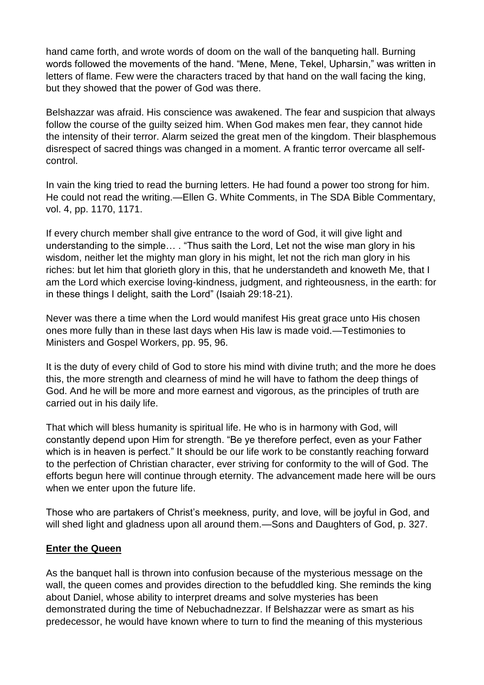hand came forth, and wrote words of doom on the wall of the banqueting hall. Burning words followed the movements of the hand. "Mene, Mene, Tekel, Upharsin," was written in letters of flame. Few were the characters traced by that hand on the wall facing the king, but they showed that the power of God was there.

Belshazzar was afraid. His conscience was awakened. The fear and suspicion that always follow the course of the guilty seized him. When God makes men fear, they cannot hide the intensity of their terror. Alarm seized the great men of the kingdom. Their blasphemous disrespect of sacred things was changed in a moment. A frantic terror overcame all selfcontrol.

In vain the king tried to read the burning letters. He had found a power too strong for him. He could not read the writing.—Ellen G. White Comments, in The SDA Bible Commentary, vol. 4, pp. 1170, 1171.

If every church member shall give entrance to the word of God, it will give light and understanding to the simple… . "Thus saith the Lord, Let not the wise man glory in his wisdom, neither let the mighty man glory in his might, let not the rich man glory in his riches: but let him that glorieth glory in this, that he understandeth and knoweth Me, that I am the Lord which exercise loving-kindness, judgment, and righteousness, in the earth: for in these things I delight, saith the Lord" (Isaiah 29:18-21).

Never was there a time when the Lord would manifest His great grace unto His chosen ones more fully than in these last days when His law is made void.—Testimonies to Ministers and Gospel Workers, pp. 95, 96.

It is the duty of every child of God to store his mind with divine truth; and the more he does this, the more strength and clearness of mind he will have to fathom the deep things of God. And he will be more and more earnest and vigorous, as the principles of truth are carried out in his daily life.

That which will bless humanity is spiritual life. He who is in harmony with God, will constantly depend upon Him for strength. "Be ye therefore perfect, even as your Father which is in heaven is perfect." It should be our life work to be constantly reaching forward to the perfection of Christian character, ever striving for conformity to the will of God. The efforts begun here will continue through eternity. The advancement made here will be ours when we enter upon the future life.

Those who are partakers of Christ's meekness, purity, and love, will be joyful in God, and will shed light and gladness upon all around them.—Sons and Daughters of God, p. 327.

## **Enter the Queen**

As the banquet hall is thrown into confusion because of the mysterious message on the wall, the queen comes and provides direction to the befuddled king. She reminds the king about Daniel, whose ability to interpret dreams and solve mysteries has been demonstrated during the time of Nebuchadnezzar. If Belshazzar were as smart as his predecessor, he would have known where to turn to find the meaning of this mysterious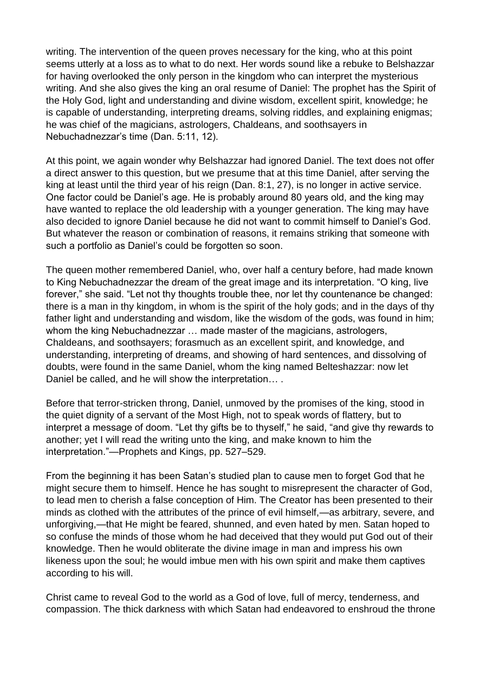writing. The intervention of the queen proves necessary for the king, who at this point seems utterly at a loss as to what to do next. Her words sound like a rebuke to Belshazzar for having overlooked the only person in the kingdom who can interpret the mysterious writing. And she also gives the king an oral resume of Daniel: The prophet has the Spirit of the Holy God, light and understanding and divine wisdom, excellent spirit, knowledge; he is capable of understanding, interpreting dreams, solving riddles, and explaining enigmas; he was chief of the magicians, astrologers, Chaldeans, and soothsayers in Nebuchadnezzar's time (Dan. 5:11, 12).

At this point, we again wonder why Belshazzar had ignored Daniel. The text does not offer a direct answer to this question, but we presume that at this time Daniel, after serving the king at least until the third year of his reign (Dan. 8:1, 27), is no longer in active service. One factor could be Daniel's age. He is probably around 80 years old, and the king may have wanted to replace the old leadership with a younger generation. The king may have also decided to ignore Daniel because he did not want to commit himself to Daniel's God. But whatever the reason or combination of reasons, it remains striking that someone with such a portfolio as Daniel's could be forgotten so soon.

The queen mother remembered Daniel, who, over half a century before, had made known to King Nebuchadnezzar the dream of the great image and its interpretation. "O king, live forever," she said. "Let not thy thoughts trouble thee, nor let thy countenance be changed: there is a man in thy kingdom, in whom is the spirit of the holy gods; and in the days of thy father light and understanding and wisdom, like the wisdom of the gods, was found in him; whom the king Nebuchadnezzar … made master of the magicians, astrologers, Chaldeans, and soothsayers; forasmuch as an excellent spirit, and knowledge, and understanding, interpreting of dreams, and showing of hard sentences, and dissolving of doubts, were found in the same Daniel, whom the king named Belteshazzar: now let Daniel be called, and he will show the interpretation....

Before that terror-stricken throng, Daniel, unmoved by the promises of the king, stood in the quiet dignity of a servant of the Most High, not to speak words of flattery, but to interpret a message of doom. "Let thy gifts be to thyself," he said, "and give thy rewards to another; yet I will read the writing unto the king, and make known to him the interpretation."—Prophets and Kings, pp. 527–529.

From the beginning it has been Satan's studied plan to cause men to forget God that he might secure them to himself. Hence he has sought to misrepresent the character of God, to lead men to cherish a false conception of Him. The Creator has been presented to their minds as clothed with the attributes of the prince of evil himself,—as arbitrary, severe, and unforgiving,—that He might be feared, shunned, and even hated by men. Satan hoped to so confuse the minds of those whom he had deceived that they would put God out of their knowledge. Then he would obliterate the divine image in man and impress his own likeness upon the soul; he would imbue men with his own spirit and make them captives according to his will.

Christ came to reveal God to the world as a God of love, full of mercy, tenderness, and compassion. The thick darkness with which Satan had endeavored to enshroud the throne